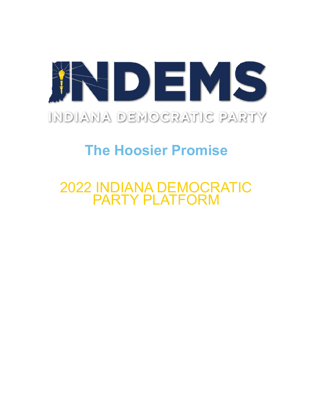

# **The Hoosier Promise**

## 2022 INDIANA DEMOCRATIC PARTY PLATFORM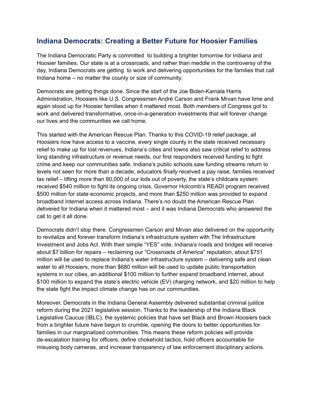#### **Indiana Democrats: Creating a Better Future for Hoosier Families**

The Indiana Democratic Party is committed to building a brighter tomorrow for Indiana and Hoosier families. Our state is at a crossroads, and rather than meddle in the controversy of the day, Indiana Democrats are getting to work and delivering opportunities for the families that call Indiana home – no matter the county or size of community.

Democrats are getting things done. Since the start of the Joe Biden-Kamala Harris Administration, Hoosiers like U.S. Congressmen André Carson and Frank Mrvan have time and again stood up for Hoosier families when it mattered most. Both members of Congress got to work and delivered transformative, once-in-a-generation investments that will forever change our lives and the communities we call home.

This started with the American Rescue Plan. Thanks to this COVID-19 relief package, all Hoosiers now have access to a vaccine, every single county in the state received necessary relief to make up for lost revenues, Indiana's cities and towns also saw critical relief to address long standing infrastructure or revenue needs, our first responders received funding to fight crime and keep our communities safe, Indiana's public schools saw funding streams return to levels not seen for more than a decade, educators *finally* received a pay raise, families received tax relief – lifting more than 80,000 of our kids out of poverty, the state's childcare system received \$540 million to fight its ongoing crisis, Governor Holcomb's READI program received \$500 million for state economic projects, and more than \$250 million was provided to expand broadband internet access across Indiana. There's no doubt the American Rescue Plan delivered for Indiana when it mattered most – and it was Indiana Democrats who answered the call to get it all done.

Democrats didn't stop there. Congressmen Carson and Mrvan also delivered on the opportunity to revitalize and forever transform Indiana's infrastructure system with The Infrastructure Investment and Jobs Act. With their simple "YES" vote, Indiana's roads and bridges will receive about \$7 billion for repairs – reclaiming our "Crossroads of America" reputation, about \$751 million will be used to replace Indiana's water infrastructure system – delivering safe and clean water to all Hoosiers, more than \$680 million will be used to update public transportation systems in our cities, an additional \$100 million to further expand broadband internet, about \$100 million to expand the state's electric vehicle (EV) charging network, and \$20 million to help the state fight the impact climate change has on our communities.

Moreover, Democrats in the Indiana General Assembly delivered substantial criminal justice reform during the 2021 legislative session. Thanks to the leadership of the Indiana Black Legislative Caucus (IBLC), the systemic policies that have set Black and Brown Hoosiers back from a brighter future have begun to crumble, opening the doors to better opportunities for families in our marginalized communities. This means these reform policies will provide de-escalation training for officers, define chokehold tactics, hold officers accountable for misusing body cameras, and increase transparency of law enforcement disciplinary actions.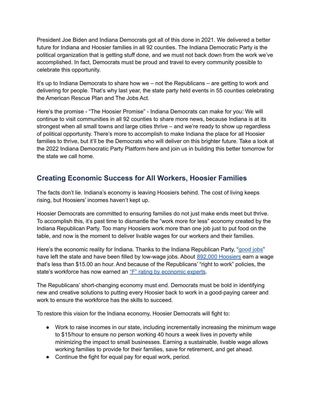President Joe Biden and Indiana Democrats got all of this done in 2021. We delivered a better future for Indiana and Hoosier families in all 92 counties. The Indiana Democratic Party is the political organization that is getting stuff done, and we must not back down from the work we've accomplished. In fact, Democrats must be proud and travel to every community possible to celebrate this opportunity.

It's up to Indiana Democrats to share how we – not the Republicans – are getting to work and delivering for people. That's why last year, the state party held events in 55 counties celebrating the American Rescue Plan and The Jobs Act.

Here's the promise - "The Hoosier Promise" - Indiana Democrats can make for you: We will continue to visit communities in all 92 counties to share more news, because Indiana is at its strongest when all small towns and large cities thrive – and we're ready to show up regardless of political opportunity. There's more to accomplish to make Indiana the place for all Hoosier families to thrive, but it'll be the Democrats who will deliver on this brighter future. Take a look at the 2022 Indiana Democratic Party Platform here and join us in building this better tomorrow for the state we call home.

#### **Creating Economic Success for All Workers, Hoosier Families**

The facts don't lie. Indiana's economy is leaving Hoosiers behind. The cost of living keeps rising, but Hoosiers' incomes haven't kept up.

Hoosier Democrats are committed to ensuring families do not just make ends meet but thrive. To accomplish this, it's past time to dismantle the "work more for less" economy created by the Indiana Republican Party. Too many Hoosiers work more than one job just to put food on the table, and now is the moment to deliver livable wages for our workers and their families.

Here's the economic reality for Indiana. Thanks to the Indiana Republican Party, "[good](https://www.indystar.com/story/money/2020/11/20/indiana-jobs-state-lost-more-good-jobs-than-gained-study-says/3776278001/) jobs" have left the state and have been filled by low-wage jobs. About 892,000 [Hoosiers](https://www.indems.org/fact-sheet-debunking-gop-myths-about-the-minimum-wage/) earn a wage that's less than \$15.00 an hour. And because of the Republicans' "right to work" policies, the state's workforce has now earned an "F" rating by [economic](https://www.cnbc.com/2021/07/13/top-states-for-business-indiana.html) experts.

The Republicans' short-changing economy must end. Democrats must be bold in identifying new and creative solutions to putting every Hoosier back to work in a good-paying career and work to ensure the workforce has the skills to succeed.

To restore this vision for the Indiana economy, Hoosier Democrats will fight to:

- Work to raise incomes in our state, including incrementally increasing the minimum wage to \$15/hour to ensure no person working 40 hours a week lives in poverty while minimizing the impact to small businesses. Earning a sustainable, livable wage allows working families to provide for their families, save for retirement, and get ahead.
- Continue the fight for equal pay for equal work, period.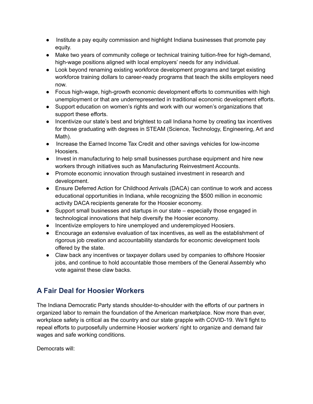- Institute a pay equity commission and highlight Indiana businesses that promote pay equity.
- Make two years of community college or technical training tuition-free for high-demand, high-wage positions aligned with local employers' needs for any individual.
- Look beyond renaming existing workforce development programs and target existing workforce training dollars to career-ready programs that teach the skills employers need now.
- Focus high-wage, high-growth economic development efforts to communities with high unemployment or that are underrepresented in traditional economic development efforts.
- Support education on women's rights and work with our women's organizations that support these efforts.
- Incentivize our state's best and brightest to call Indiana home by creating tax incentives for those graduating with degrees in STEAM (Science, Technology, Engineering, Art and Math).
- Increase the Earned Income Tax Credit and other savings vehicles for low-income Hoosiers.
- Invest in manufacturing to help small businesses purchase equipment and hire new workers through initiatives such as Manufacturing Reinvestment Accounts.
- Promote economic innovation through sustained investment in research and development.
- Ensure Deferred Action for Childhood Arrivals (DACA) can continue to work and access educational opportunities in Indiana, while recognizing the \$500 million in economic activity DACA recipients generate for the Hoosier economy.
- Support small businesses and startups in our state especially those engaged in technological innovations that help diversify the Hoosier economy.
- Incentivize employers to hire unemployed and underemployed Hoosiers.
- Encourage an extensive evaluation of tax incentives, as well as the establishment of rigorous job creation and accountability standards for economic development tools offered by the state.
- Claw back any incentives or taxpayer dollars used by companies to offshore Hoosier jobs, and continue to hold accountable those members of the General Assembly who vote against these claw backs.

## **A Fair Deal for Hoosier Workers**

The Indiana Democratic Party stands shoulder-to-shoulder with the efforts of our partners in organized labor to remain the foundation of the American marketplace. Now more than ever, workplace safety is critical as the country and our state grapple with COVID-19. We'll fight to repeal efforts to purposefully undermine Hoosier workers' right to organize and demand fair wages and safe working conditions.

Democrats will: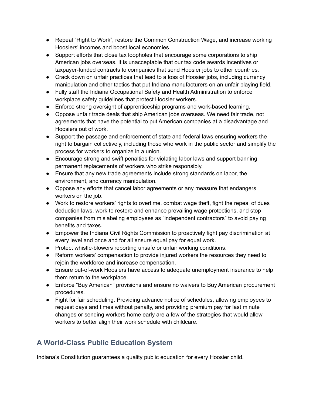- Repeal "Right to Work", restore the Common Construction Wage, and increase working Hoosiers' incomes and boost local economies.
- Support efforts that close tax loopholes that encourage some corporations to ship American jobs overseas. It is unacceptable that our tax code awards incentives or taxpayer-funded contracts to companies that send Hoosier jobs to other countries.
- Crack down on unfair practices that lead to a loss of Hoosier jobs, including currency manipulation and other tactics that put Indiana manufacturers on an unfair playing field.
- Fully staff the Indiana Occupational Safety and Health Administration to enforce workplace safety guidelines that protect Hoosier workers.
- Enforce strong oversight of apprenticeship programs and work-based learning.
- Oppose unfair trade deals that ship American jobs overseas. We need fair trade, not agreements that have the potential to put American companies at a disadvantage and Hoosiers out of work.
- Support the passage and enforcement of state and federal laws ensuring workers the right to bargain collectively, including those who work in the public sector and simplify the process for workers to organize in a union.
- Encourage strong and swift penalties for violating labor laws and support banning permanent replacements of workers who strike responsibly.
- Ensure that any new trade agreements include strong standards on labor, the environment, and currency manipulation.
- Oppose any efforts that cancel labor agreements or any measure that endangers workers on the job.
- Work to restore workers' rights to overtime, combat wage theft, fight the repeal of dues deduction laws, work to restore and enhance prevailing wage protections, and stop companies from mislabeling employees as "independent contractors" to avoid paying benefits and taxes.
- Empower the Indiana Civil Rights Commission to proactively fight pay discrimination at every level and once and for all ensure equal pay for equal work.
- Protect whistle-blowers reporting unsafe or unfair working conditions.
- Reform workers' compensation to provide injured workers the resources they need to rejoin the workforce and increase compensation.
- Ensure out-of-work Hoosiers have access to adequate unemployment insurance to help them return to the workplace.
- Enforce "Buy American" provisions and ensure no waivers to Buy American procurement procedures.
- Fight for fair scheduling. Providing advance notice of schedules, allowing employees to request days and times without penalty, and providing premium pay for last minute changes or sending workers home early are a few of the strategies that would allow workers to better align their work schedule with childcare.

## **A World-Class Public Education System**

Indiana's Constitution guarantees a quality public education for every Hoosier child.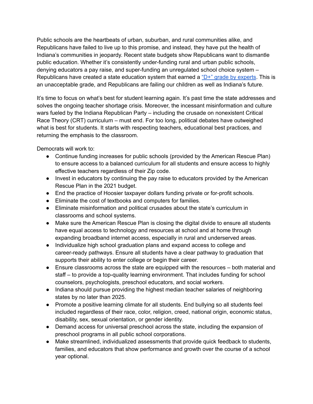Public schools are the heartbeats of urban, suburban, and rural communities alike, and Republicans have failed to live up to this promise, and instead, they have put the health of Indiana's communities in jeopardy. Recent state budgets show Republicans want to dismantle public education. Whether it's consistently under-funding rural and urban public schools, denying educators a pay raise, and super-funding an unregulated school choice system – Republicans have created a state education system that earned a " $D+$ " grade by [experts](https://www.cnbc.com/2021/07/13/top-states-for-business-indiana.html). This is an unacceptable grade, and Republicans are failing our children as well as Indiana's future.

It's time to focus on what's best for student learning again. It's past time the state addresses and solves the ongoing teacher shortage crisis. Moreover, the incessant misinformation and culture wars fueled by the Indiana Republican Party – including the crusade on nonexistent Critical Race Theory (CRT) curriculum – must end. For too long, political debates have outweighed what is best for students. It starts with respecting teachers, educational best practices, and returning the emphasis to the classroom.

Democrats will work to:

- Continue funding increases for public schools (provided by the American Rescue Plan) to ensure access to a balanced curriculum for all students and ensure access to highly effective teachers regardless of their Zip code.
- Invest in educators by continuing the pay raise to educators provided by the American Rescue Plan in the 2021 budget.
- End the practice of Hoosier taxpayer dollars funding private or for-profit schools.
- Eliminate the cost of textbooks and computers for families.
- Eliminate misinformation and political crusades about the state's curriculum in classrooms and school systems.
- Make sure the American Rescue Plan is closing the digital divide to ensure all students have equal access to technology and resources at school and at home through expanding broadband internet access, especially in rural and underserved areas.
- Individualize high school graduation plans and expand access to college and career-ready pathways. Ensure all students have a clear pathway to graduation that supports their ability to enter college or begin their career.
- Ensure classrooms across the state are equipped with the resources both material and staff – to provide a top-quality learning environment. That includes funding for school counselors, psychologists, preschool educators, and social workers.
- Indiana should pursue providing the highest median teacher salaries of neighboring states by no later than 2025.
- Promote a positive learning climate for all students. End bullying so all students feel included regardless of their race, color, religion, creed, national origin, economic status, disability, sex, sexual orientation, or gender identity.
- Demand access for universal preschool across the state, including the expansion of preschool programs in all public school corporations.
- Make streamlined, individualized assessments that provide quick feedback to students, families, and educators that show performance and growth over the course of a school year optional.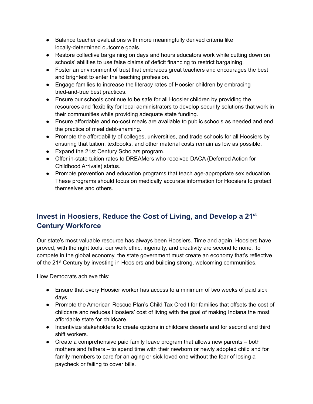- Balance teacher evaluations with more meaningfully derived criteria like locally-determined outcome goals.
- Restore collective bargaining on days and hours educators work while cutting down on schools' abilities to use false claims of deficit financing to restrict bargaining.
- Foster an environment of trust that embraces great teachers and encourages the best and brightest to enter the teaching profession.
- Engage families to increase the literacy rates of Hoosier children by embracing tried-and-true best practices.
- Ensure our schools continue to be safe for all Hoosier children by providing the resources and flexibility for local administrators to develop security solutions that work in their communities while providing adequate state funding.
- Ensure affordable and no-cost meals are available to public schools as needed and end the practice of meal debt-shaming.
- Promote the affordability of colleges, universities, and trade schools for all Hoosiers by ensuring that tuition, textbooks, and other material costs remain as low as possible.
- Expand the 21st Century Scholars program.
- Offer in-state tuition rates to DREAMers who received DACA (Deferred Action for Childhood Arrivals) status.
- Promote prevention and education programs that teach age-appropriate sex education. These programs should focus on medically accurate information for Hoosiers to protect themselves and others.

## **Invest in Hoosiers, Reduce the Cost of Living, and Develop a 21 st Century Workforce**

Our state's most valuable resource has always been Hoosiers. Time and again, Hoosiers have proved, with the right tools, our work ethic, ingenuity, and creativity are second to none*.* To compete in the global economy, the state government must create an economy that's reflective of the 21<sup>st</sup> Century by investing in Hoosiers and building strong, welcoming communities.

How Democrats achieve this:

- Ensure that every Hoosier worker has access to a minimum of two weeks of paid sick days.
- Promote the American Rescue Plan's Child Tax Credit for families that offsets the cost of childcare and reduces Hoosiers' cost of living with the goal of making Indiana the most affordable state for childcare.
- Incentivize stakeholders to create options in childcare deserts and for second and third shift workers.
- Create a comprehensive paid family leave program that allows new parents both mothers and fathers – to spend time with their newborn or newly adopted child and for family members to care for an aging or sick loved one without the fear of losing a paycheck or failing to cover bills.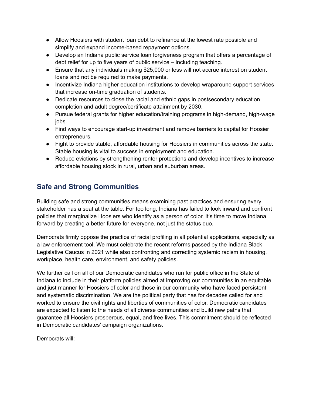- Allow Hoosiers with student loan debt to refinance at the lowest rate possible and simplify and expand income-based repayment options.
- Develop an Indiana public service loan forgiveness program that offers a percentage of debt relief for up to five years of public service – including teaching.
- Ensure that any individuals making \$25,000 or less will not accrue interest on student loans and not be required to make payments.
- Incentivize Indiana higher education institutions to develop wraparound support services that increase on-time graduation of students.
- Dedicate resources to close the racial and ethnic gaps in postsecondary education completion and adult degree/certificate attainment by 2030.
- Pursue federal grants for higher education/training programs in high-demand, high-wage jobs.
- Find ways to encourage start-up investment and remove barriers to capital for Hoosier entrepreneurs.
- Fight to provide stable, affordable housing for Hoosiers in communities across the state. Stable housing is vital to success in employment and education.
- Reduce evictions by strengthening renter protections and develop incentives to increase affordable housing stock in rural, urban and suburban areas.

## **Safe and Strong Communities**

Building safe and strong communities means examining past practices and ensuring every stakeholder has a seat at the table. For too long, Indiana has failed to look inward and confront policies that marginalize Hoosiers who identify as a person of color. It's time to move Indiana forward by creating a better future for everyone, not just the status quo.

Democrats firmly oppose the practice of racial profiling in all potential applications, especially as a law enforcement tool. We must celebrate the recent reforms passed by the Indiana Black Legislative Caucus in 2021 while also confronting and correcting systemic racism in housing, workplace, health care, environment, and safety policies.

We further call on all of our Democratic candidates who run for public office in the State of Indiana to include in their platform policies aimed at improving our communities in an equitable and just manner for Hoosiers of color and those in our community who have faced persistent and systematic discrimination. We are the political party that has for decades called for and worked to ensure the civil rights and liberties of communities of color. Democratic candidates are expected to listen to the needs of all diverse communities and build new paths that guarantee all Hoosiers prosperous, equal, and free lives. This commitment should be reflected in Democratic candidates' campaign organizations.

Democrats will: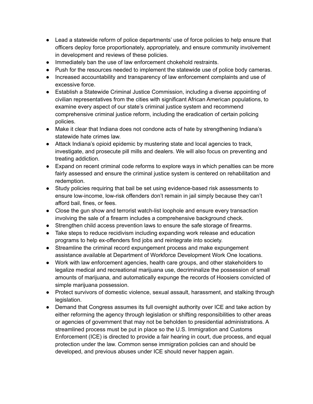- Lead a statewide reform of police departments' use of force policies to help ensure that officers deploy force proportionately, appropriately, and ensure community involvement in development and reviews of these policies.
- Immediately ban the use of law enforcement chokehold restraints.
- Push for the resources needed to implement the statewide use of police body cameras.
- Increased accountability and transparency of law enforcement complaints and use of excessive force.
- Establish a Statewide Criminal Justice Commission, including a diverse appointing of civilian representatives from the cities with significant African American populations, to examine every aspect of our state's criminal justice system and recommend comprehensive criminal justice reform, including the eradication of certain policing policies.
- Make it clear that Indiana does not condone acts of hate by strengthening Indiana's statewide hate crimes law.
- Attack Indiana's opioid epidemic by mustering state and local agencies to track, investigate, and prosecute pill mills and dealers. We will also focus on preventing and treating addiction.
- Expand on recent criminal code reforms to explore ways in which penalties can be more fairly assessed and ensure the criminal justice system is centered on rehabilitation and redemption.
- Study policies requiring that bail be set using evidence-based risk assessments to ensure low-income, low-risk offenders don't remain in jail simply because they can't afford bail, fines, or fees.
- Close the gun show and terrorist watch-list loophole and ensure every transaction involving the sale of a firearm includes a comprehensive background check.
- Strengthen child access prevention laws to ensure the safe storage of firearms.
- Take steps to reduce recidivism including expanding work release and education programs to help ex-offenders find jobs and reintegrate into society.
- Streamline the criminal record expungement process and make expungement assistance available at Department of Workforce Development Work One locations.
- Work with law enforcement agencies, health care groups, and other stakeholders to legalize medical and recreational marijuana use, decriminalize the possession of small amounts of marijuana, and automatically expunge the records of Hoosiers convicted of simple marijuana possession.
- Protect survivors of domestic violence, sexual assault, harassment, and stalking through legislation.
- Demand that Congress assumes its full oversight authority over ICE and take action by either reforming the agency through legislation or shifting responsibilities to other areas or agencies of government that may not be beholden to presidential administrations. A streamlined process must be put in place so the U.S. Immigration and Customs Enforcement (ICE) is directed to provide a fair hearing in court, due process, and equal protection under the law. Common sense immigration policies can and should be developed, and previous abuses under ICE should never happen again.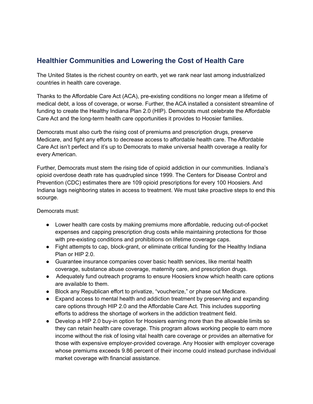#### **Healthier Communities and Lowering the Cost of Health Care**

The United States is the richest country on earth, yet we rank near last among industrialized countries in health care coverage.

Thanks to the Affordable Care Act (ACA), pre-existing conditions no longer mean a lifetime of medical debt, a loss of coverage, or worse. Further, the ACA installed a consistent streamline of funding to create the Healthy Indiana Plan 2.0 (HIP). Democrats must celebrate the Affordable Care Act and the long-term health care opportunities it provides to Hoosier families.

Democrats must also curb the rising cost of premiums and prescription drugs, preserve Medicare, and fight any efforts to decrease access to affordable health care. The Affordable Care Act isn't perfect and it's up to Democrats to make universal health coverage a reality for every American.

Further, Democrats must stem the rising tide of opioid addiction in our communities. Indiana's opioid overdose death rate has quadrupled since 1999. The Centers for Disease Control and Prevention (CDC) estimates there are 109 opioid prescriptions for every 100 Hoosiers. And Indiana lags neighboring states in access to treatment. We must take proactive steps to end this scourge.

Democrats must:

- Lower health care costs by making premiums more affordable, reducing out-of-pocket expenses and capping prescription drug costs while maintaining protections for those with pre-existing conditions and prohibitions on lifetime coverage caps.
- Fight attempts to cap, block-grant, or eliminate critical funding for the Healthy Indiana Plan or HIP 2.0.
- Guarantee insurance companies cover basic health services, like mental health coverage, substance abuse coverage, maternity care, and prescription drugs.
- Adequately fund outreach programs to ensure Hoosiers know which health care options are available to them.
- Block any Republican effort to privatize, "voucherize," or phase out Medicare.
- Expand access to mental health and addiction treatment by preserving and expanding care options through HIP 2.0 and the Affordable Care Act. This includes supporting efforts to address the shortage of workers in the addiction treatment field.
- Develop a HIP 2.0 buy-in option for Hoosiers earning more than the allowable limits so they can retain health care coverage. This program allows working people to earn more income without the risk of losing vital health care coverage or provides an alternative for those with expensive employer-provided coverage. Any Hoosier with employer coverage whose premiums exceeds 9.86 percent of their income could instead purchase individual market coverage with financial assistance.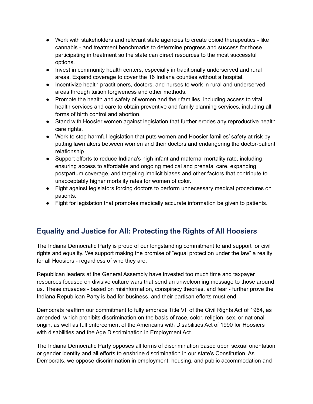- Work with stakeholders and relevant state agencies to create opioid therapeutics like cannabis - and treatment benchmarks to determine progress and success for those participating in treatment so the state can direct resources to the most successful options.
- Invest in community health centers, especially in traditionally underserved and rural areas. Expand coverage to cover the 16 Indiana counties without a hospital.
- Incentivize health practitioners, doctors, and nurses to work in rural and underserved areas through tuition forgiveness and other methods.
- Promote the health and safety of women and their families, including access to vital health services and care to obtain preventive and family planning services, including all forms of birth control and abortion.
- Stand with Hoosier women against legislation that further erodes any reproductive health care rights.
- Work to stop harmful legislation that puts women and Hoosier families' safety at risk by putting lawmakers between women and their doctors and endangering the doctor-patient relationship.
- Support efforts to reduce Indiana's high infant and maternal mortality rate, including ensuring access to affordable and ongoing medical and prenatal care, expanding postpartum coverage, and targeting implicit biases and other factors that contribute to unacceptably higher mortality rates for women of color.
- Fight against legislators forcing doctors to perform unnecessary medical procedures on patients.
- Fight for legislation that promotes medically accurate information be given to patients.

#### **Equality and Justice for All: Protecting the Rights of All Hoosiers**

The Indiana Democratic Party is proud of our longstanding commitment to and support for civil rights and equality. We support making the promise of "equal protection under the law" a reality for all Hoosiers - regardless of who they are.

Republican leaders at the General Assembly have invested too much time and taxpayer resources focused on divisive culture wars that send an unwelcoming message to those around us. These crusades - based on misinformation, conspiracy theories, and fear - further prove the Indiana Republican Party is bad for business, and their partisan efforts must end.

Democrats reaffirm our commitment to fully embrace Title VII of the Civil Rights Act of 1964, as amended, which prohibits discrimination on the basis of race, color, religion, sex, or national origin, as well as full enforcement of the Americans with Disabilities Act of 1990 for Hoosiers with disabilities and the Age Discrimination in Employment Act.

The Indiana Democratic Party opposes all forms of discrimination based upon sexual orientation or gender identity and all efforts to enshrine discrimination in our state's Constitution. As Democrats, we oppose discrimination in employment, housing, and public accommodation and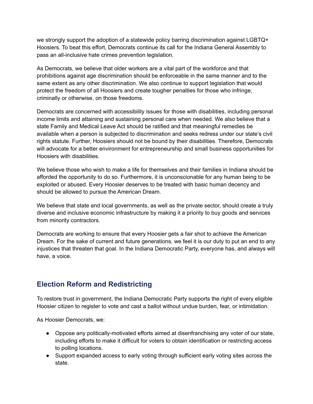we strongly support the adoption of a statewide policy barring discrimination against LGBTQ+ Hoosiers. To beat this effort, Democrats continue its call for the Indiana General Assembly to pass an all-inclusive hate crimes prevention legislation.

As Democrats, we believe that older workers are a vital part of the workforce and that prohibitions against age discrimination should be enforceable in the same manner and to the same extent as any other discrimination. We also continue to support legislation that would protect the freedom of all Hoosiers and create tougher penalties for those who infringe, criminally or otherwise, on those freedoms.

Democrats are concerned with accessibility issues for those with disabilities, including personal income limits and attaining and sustaining personal care when needed. We also believe that a state Family and Medical Leave Act should be ratified and that meaningful remedies be available when a person is subjected to discrimination and seeks redress under our state's civil rights statute. Further, Hoosiers should not be bound by their disabilities. Therefore, Democrats will advocate for a better environment for entrepreneurship and small business opportunities for Hoosiers with disabilities.

We believe those who wish to make a life for themselves and their families in Indiana should be afforded the opportunity to do so. Furthermore, it is unconscionable for any human being to be exploited or abused. Every Hoosier deserves to be treated with basic human decency and should be allowed to pursue the American Dream.

We believe that state and local governments, as well as the private sector, should create a truly diverse and inclusive economic infrastructure by making it a priority to buy goods and services from minority contractors.

Democrats are working to ensure that every Hoosier gets a fair shot to achieve the American Dream. For the sake of current and future generations, we feel it is our duty to put an end to any injustices that threaten that goal. In the Indiana Democratic Party, everyone has, and always will have, a voice.

#### **Election Reform and Redistricting**

To restore trust in government, the Indiana Democratic Party supports the right of every eligible Hoosier citizen to register to vote and cast a ballot without undue burden, fear, or intimidation.

As Hoosier Democrats, we:

- Oppose any politically-motivated efforts aimed at disenfranchising any voter of our state, including efforts to make it difficult for voters to obtain identification or restricting access to polling locations.
- Support expanded access to early voting through sufficient early voting sites across the state.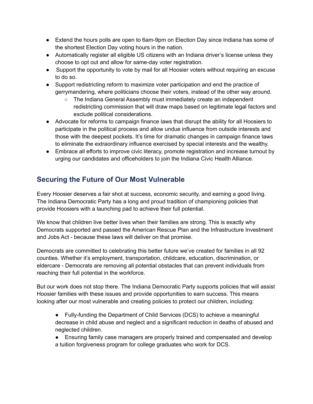- Extend the hours polls are open to 6am-9pm on Election Day since Indiana has some of the shortest Election Day voting hours in the nation.
- Automatically register all eligible US citizens with an Indiana driver's license unless they choose to opt out and allow for same-day voter registration.
- Support the opportunity to vote by mail for all Hoosier voters without requiring an excuse to do so.
- Support redistricting reform to maximize voter participation and end the practice of gerrymandering, where politicians choose their voters, instead of the other way around.
	- The Indiana General Assembly must immediately create an independent redistricting commission that will draw maps based on legitimate legal factors and exclude political considerations.
- Advocate for reforms to campaign finance laws that disrupt the ability for all Hoosiers to participate in the political process and allow undue influence from outside interests and those with the deepest pockets. It's time for dramatic changes in campaign finance laws to eliminate the extraordinary influence exercised by special interests and the wealthy.
- Embrace all efforts to improve civic literacy, promote registration and increase turnout by urging our candidates and officeholders to join the Indiana Civic Health Alliance.

#### **Securing the Future of Our Most Vulnerable**

Every Hoosier deserves a fair shot at success, economic security, and earning a good living. The Indiana Democratic Party has a long and proud tradition of championing policies that provide Hoosiers with a launching pad to achieve their full potential.

We know that children live better lives when their families are strong. This is exactly why Democrats supported and passed the American Rescue Plan and the Infrastructure Investment and Jobs Act - because these laws will deliver on that promise.

Democrats are committed to celebrating this better future we've created for families in all 92 counties. Whether it's employment, transportation, childcare, education, discrimination, or eldercare - Democrats are removing all potential obstacles that can prevent individuals from reaching their full potential in the workforce.

But our work does not stop there. The Indiana Democratic Party supports policies that will assist Hoosier families with these issues and provide opportunities to earn success. This means looking after our most vulnerable and creating policies to protect our children, including:

- Fully-funding the Department of Child Services (DCS) to achieve a meaningful decrease in child abuse and neglect and a significant reduction in deaths of abused and neglected children.
- Ensuring family case managers are properly trained and compensated and develop a tuition forgiveness program for college graduates who work for DCS.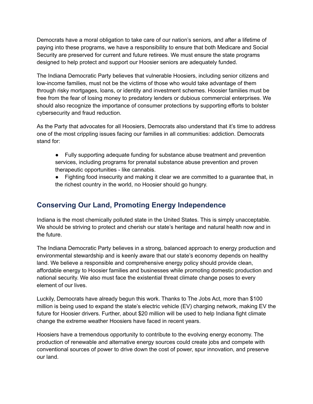Democrats have a moral obligation to take care of our nation's seniors, and after a lifetime of paying into these programs, we have a responsibility to ensure that both Medicare and Social Security are preserved for current and future retirees. We must ensure the state programs designed to help protect and support our Hoosier seniors are adequately funded.

The Indiana Democratic Party believes that vulnerable Hoosiers, including senior citizens and low-income families, must not be the victims of those who would take advantage of them through risky mortgages, loans, or identity and investment schemes. Hoosier families must be free from the fear of losing money to predatory lenders or dubious commercial enterprises. We should also recognize the importance of consumer protections by supporting efforts to bolster cybersecurity and fraud reduction.

As the Party that advocates for all Hoosiers, Democrats also understand that it's time to address one of the most crippling issues facing our families in all communities: addiction. Democrats stand for:

- Fully supporting adequate funding for substance abuse treatment and prevention services, including programs for prenatal substance abuse prevention and proven therapeutic opportunities - like cannabis.
- Fighting food insecurity and making it clear we are committed to a guarantee that, in the richest country in the world, no Hoosier should go hungry.

#### **Conserving Our Land, Promoting Energy Independence**

Indiana is the most chemically polluted state in the United States. This is simply unacceptable. We should be striving to protect and cherish our state's heritage and natural health now and in the future.

The Indiana Democratic Party believes in a strong, balanced approach to energy production and environmental stewardship and is keenly aware that our state's economy depends on healthy land. We believe a responsible and comprehensive energy policy should provide clean, affordable energy to Hoosier families and businesses while promoting domestic production and national security. We also must face the existential threat climate change poses to every element of our lives.

Luckily, Democrats have already begun this work. Thanks to The Jobs Act, more than \$100 million is being used to expand the state's electric vehicle (EV) charging network, making EV the future for Hoosier drivers. Further, about \$20 million will be used to help Indiana fight climate change the extreme weather Hoosiers have faced in recent years.

Hoosiers have a tremendous opportunity to contribute to the evolving energy economy. The production of renewable and alternative energy sources could create jobs and compete with conventional sources of power to drive down the cost of power, spur innovation, and preserve our land.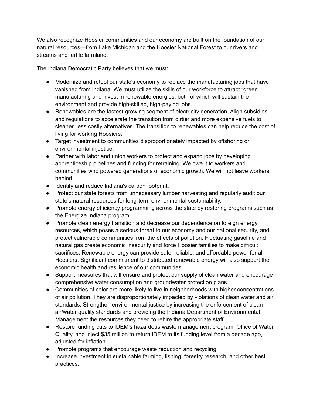We also recognize Hoosier communities and our economy are built on the foundation of our natural resources—from Lake Michigan and the Hoosier National Forest to our rivers and streams and fertile farmland.

The Indiana Democratic Party believes that we must:

- Modernize and retool our state's economy to replace the manufacturing jobs that have vanished from Indiana. We must utilize the skills of our workforce to attract "green" manufacturing and invest in renewable energies, both of which will sustain the environment and provide high-skilled, high-paying jobs.
- Renewables are the fastest-growing segment of electricity generation. Align subsidies and regulations to accelerate the transition from dirtier and more expensive fuels to cleaner, less costly alternatives. The transition to renewables can help reduce the cost of living for working Hoosiers.
- Target investment to communities disproportionately impacted by offshoring or environmental injustice.
- Partner with labor and union workers to protect and expand jobs by developing apprenticeship pipelines and funding for retraining. We owe it to workers and communities who powered generations of economic growth. We will not leave workers behind.
- Identify and reduce Indiana's carbon footprint.
- Protect our state forests from unnecessary lumber harvesting and regularly audit our state's natural resources for long-term environmental sustainability.
- Promote energy efficiency programming across the state by restoring programs such as the Energize Indiana program.
- Promote clean energy transition and decrease our dependence on foreign energy resources, which poses a serious threat to our economy and our national security, and protect vulnerable communities from the effects of pollution. Fluctuating gasoline and natural gas create economic insecurity and force Hoosier families to make difficult sacrifices. Renewable energy can provide safe, reliable, and affordable power for all Hoosiers. Significant commitment to distributed renewable energy will also support the economic health and resilience of our communities.
- Support measures that will ensure and protect our supply of clean water and encourage comprehensive water consumption and groundwater protection plans.
- Communities of color are more likely to live in neighborhoods with higher concentrations of air pollution. They are disproportionately impacted by violations of clean water and air standards. Strengthen environmental justice by increasing the enforcement of clean air/water quality standards and providing the Indiana Department of Environmental Management the resources they need to rehire the appropriate staff.
- Restore funding cuts to IDEM's hazardous waste management program, Office of Water Quality, and inject \$35 million to return IDEM to its funding level from a decade ago, adjusted for inflation.
- Promote programs that encourage waste reduction and recycling.
- Increase investment in sustainable farming, fishing, forestry research, and other best practices.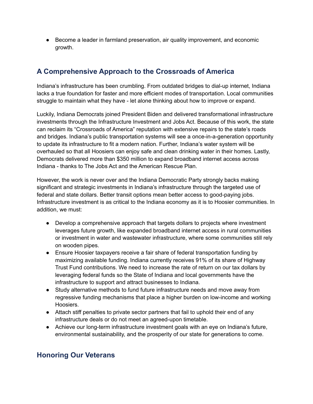● Become a leader in farmland preservation, air quality improvement, and economic growth.

### **A Comprehensive Approach to the Crossroads of America**

Indiana's infrastructure has been crumbling. From outdated bridges to dial-up internet, Indiana lacks a true foundation for faster and more efficient modes of transportation. Local communities struggle to maintain what they have - let alone thinking about how to improve or expand.

Luckily, Indiana Democrats joined President Biden and delivered transformational infrastructure investments through the Infrastructure Investment and Jobs Act. Because of this work, the state can reclaim its "Crossroads of America" reputation with extensive repairs to the state's roads and bridges. Indiana's public transportation systems will see a once-in-a-generation opportunity to update its infrastructure to fit a modern nation. Further, Indiana's water system will be overhauled so that all Hoosiers can enjoy safe and clean drinking water in their homes. Lastly, Democrats delivered more than \$350 million to expand broadband internet access across Indiana - thanks to The Jobs Act and the American Rescue Plan.

However, the work is never over and the Indiana Democratic Party strongly backs making significant and strategic investments in Indiana's infrastructure through the targeted use of federal and state dollars. Better transit options mean better access to good-paying jobs. Infrastructure investment is as critical to the Indiana economy as it is to Hoosier communities. In addition, we must:

- Develop a comprehensive approach that targets dollars to projects where investment leverages future growth, like expanded broadband internet access in rural communities or investment in water and wastewater infrastructure, where some communities still rely on wooden pipes.
- Ensure Hoosier taxpayers receive a fair share of federal transportation funding by maximizing available funding. Indiana currently receives 91% of its share of Highway Trust Fund contributions. We need to increase the rate of return on our tax dollars by leveraging federal funds so the State of Indiana and local governments have the infrastructure to support and attract businesses to Indiana.
- Study alternative methods to fund future infrastructure needs and move away from regressive funding mechanisms that place a higher burden on low-income and working Hoosiers.
- Attach stiff penalties to private sector partners that fail to uphold their end of any infrastructure deals or do not meet an agreed-upon timetable.
- Achieve our long-term infrastructure investment goals with an eye on Indiana's future, environmental sustainability, and the prosperity of our state for generations to come.

#### **Honoring Our Veterans**